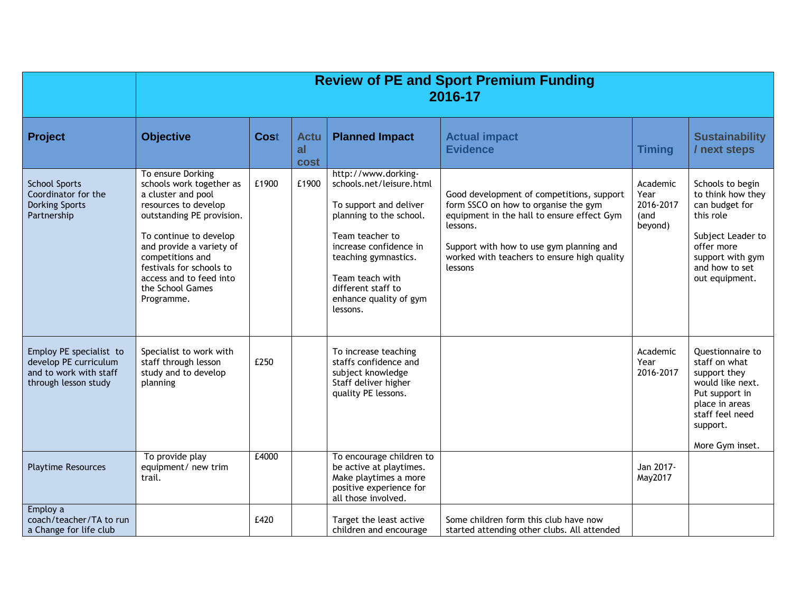|                                                                                                    | <b>Review of PE and Sport Premium Funding</b><br>2016-17                                                                                                                                                                                                                                    |             |                                  |                                                                                                                                                                                                                                                          |                                                                                                                                                                                                                                                   |                                                  |                                                                                                                                                                    |
|----------------------------------------------------------------------------------------------------|---------------------------------------------------------------------------------------------------------------------------------------------------------------------------------------------------------------------------------------------------------------------------------------------|-------------|----------------------------------|----------------------------------------------------------------------------------------------------------------------------------------------------------------------------------------------------------------------------------------------------------|---------------------------------------------------------------------------------------------------------------------------------------------------------------------------------------------------------------------------------------------------|--------------------------------------------------|--------------------------------------------------------------------------------------------------------------------------------------------------------------------|
| Project                                                                                            | <b>Objective</b>                                                                                                                                                                                                                                                                            | <b>Cost</b> | <b>Actu</b><br>al<br><b>cost</b> | <b>Planned Impact</b>                                                                                                                                                                                                                                    | <b>Actual impact</b><br><b>Evidence</b>                                                                                                                                                                                                           | <b>Timing</b>                                    | <b>Sustainability</b><br>/ next steps                                                                                                                              |
| <b>School Sports</b><br>Coordinator for the<br><b>Dorking Sports</b><br>Partnership                | To ensure Dorking<br>schools work together as<br>a cluster and pool<br>resources to develop<br>outstanding PE provision.<br>To continue to develop<br>and provide a variety of<br>competitions and<br>festivals for schools to<br>access and to feed into<br>the School Games<br>Programme. | £1900       | £1900                            | http://www.dorking-<br>schools.net/leisure.html<br>To support and deliver<br>planning to the school.<br>Team teacher to<br>increase confidence in<br>teaching gymnastics.<br>Team teach with<br>different staff to<br>enhance quality of gym<br>lessons. | Good development of competitions, support<br>form SSCO on how to organise the gym<br>equipment in the hall to ensure effect Gym<br>lessons.<br>Support with how to use gym planning and<br>worked with teachers to ensure high quality<br>lessons | Academic<br>Year<br>2016-2017<br>(and<br>beyond) | Schools to begin<br>to think how they<br>can budget for<br>this role<br>Subject Leader to<br>offer more<br>support with gym<br>and how to set<br>out equipment.    |
| Employ PE specialist to<br>develop PE curriculum<br>and to work with staff<br>through lesson study | Specialist to work with<br>staff through lesson<br>study and to develop<br>planning                                                                                                                                                                                                         | £250        |                                  | To increase teaching<br>staffs confidence and<br>subject knowledge<br>Staff deliver higher<br>quality PE lessons.                                                                                                                                        |                                                                                                                                                                                                                                                   | Academic<br>Year<br>2016-2017                    | <b>Ouestionnaire to</b><br>staff on what<br>support they<br>would like next.<br>Put support in<br>place in areas<br>staff feel need<br>support.<br>More Gym inset. |
| <b>Playtime Resources</b>                                                                          | To provide play<br>equipment/ new trim<br>trail.                                                                                                                                                                                                                                            | £4000       |                                  | To encourage children to<br>be active at playtimes.<br>Make playtimes a more<br>positive experience for<br>all those involved.                                                                                                                           |                                                                                                                                                                                                                                                   | Jan 2017-<br>May2017                             |                                                                                                                                                                    |
| Employ a<br>coach/teacher/TA to run<br>a Change for life club                                      |                                                                                                                                                                                                                                                                                             | £420        |                                  | Target the least active<br>children and encourage                                                                                                                                                                                                        | Some children form this club have now<br>started attending other clubs. All attended                                                                                                                                                              |                                                  |                                                                                                                                                                    |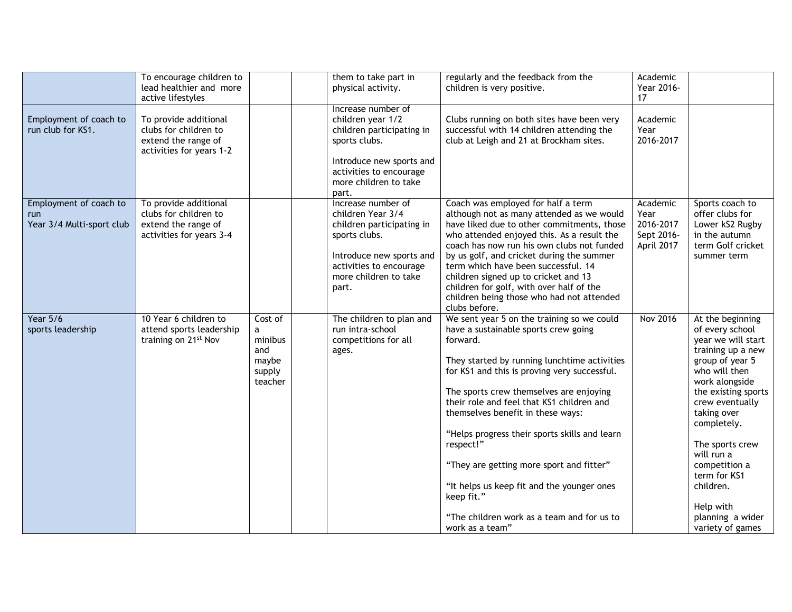|                                                            | To encourage children to<br>lead healthier and more                                               |                                                              | them to take part in<br>physical activity.                                                                                                                                     | regularly and the feedback from the<br>children is very positive.                                                                                                                                                                                                                                                                                                                                                                                                                                                                                                  | Academic<br>Year 2016-                                    |                                                                                                                                                                                                                                                                                                                                                  |
|------------------------------------------------------------|---------------------------------------------------------------------------------------------------|--------------------------------------------------------------|--------------------------------------------------------------------------------------------------------------------------------------------------------------------------------|--------------------------------------------------------------------------------------------------------------------------------------------------------------------------------------------------------------------------------------------------------------------------------------------------------------------------------------------------------------------------------------------------------------------------------------------------------------------------------------------------------------------------------------------------------------------|-----------------------------------------------------------|--------------------------------------------------------------------------------------------------------------------------------------------------------------------------------------------------------------------------------------------------------------------------------------------------------------------------------------------------|
|                                                            | active lifestyles                                                                                 |                                                              |                                                                                                                                                                                |                                                                                                                                                                                                                                                                                                                                                                                                                                                                                                                                                                    | 17                                                        |                                                                                                                                                                                                                                                                                                                                                  |
| Employment of coach to<br>run club for KS1.                | To provide additional<br>clubs for children to<br>extend the range of<br>activities for years 1-2 |                                                              | Increase number of<br>children year 1/2<br>children participating in<br>sports clubs.<br>Introduce new sports and<br>activities to encourage<br>more children to take<br>part. | Clubs running on both sites have been very<br>successful with 14 children attending the<br>club at Leigh and 21 at Brockham sites.                                                                                                                                                                                                                                                                                                                                                                                                                                 | Academic<br>Year<br>2016-2017                             |                                                                                                                                                                                                                                                                                                                                                  |
| Employment of coach to<br>run<br>Year 3/4 Multi-sport club | To provide additional<br>clubs for children to<br>extend the range of<br>activities for years 3-4 |                                                              | Increase number of<br>children Year 3/4<br>children participating in<br>sports clubs.<br>Introduce new sports and<br>activities to encourage<br>more children to take<br>part. | Coach was employed for half a term<br>although not as many attended as we would<br>have liked due to other commitments, those<br>who attended enjoyed this. As a result the<br>coach has now run his own clubs not funded<br>by us golf, and cricket during the summer<br>term which have been successful. 14<br>children signed up to cricket and 13<br>children for golf, with over half of the<br>children being those who had not attended<br>clubs before.                                                                                                    | Academic<br>Year<br>2016-2017<br>Sept 2016-<br>April 2017 | Sports coach to<br>offer clubs for<br>Lower kS2 Rugby<br>in the autumn<br>term Golf cricket<br>summer term                                                                                                                                                                                                                                       |
| <b>Year 5/6</b><br>sports leadership                       | 10 Year 6 children to<br>attend sports leadership<br>training on 21 <sup>st</sup> Nov             | Cost of<br>a<br>minibus<br>and<br>maybe<br>supply<br>teacher | The children to plan and<br>run intra-school<br>competitions for all<br>ages.                                                                                                  | We sent year 5 on the training so we could<br>have a sustainable sports crew going<br>forward.<br>They started by running lunchtime activities<br>for KS1 and this is proving very successful.<br>The sports crew themselves are enjoying<br>their role and feel that KS1 children and<br>themselves benefit in these ways:<br>"Helps progress their sports skills and learn<br>respect!"<br>"They are getting more sport and fitter"<br>"It helps us keep fit and the younger ones<br>keep fit."<br>"The children work as a team and for us to<br>work as a team" | <b>Nov 2016</b>                                           | At the beginning<br>of every school<br>year we will start<br>training up a new<br>group of year 5<br>who will then<br>work alongside<br>the existing sports<br>crew eventually<br>taking over<br>completely.<br>The sports crew<br>will run a<br>competition a<br>term for KS1<br>children.<br>Help with<br>planning a wider<br>variety of games |